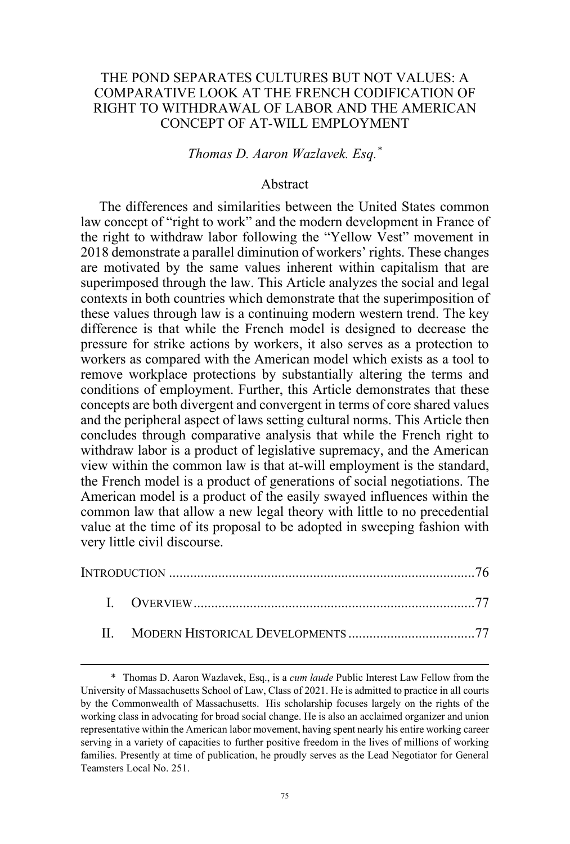# THE POND SEPARATES CULTURES BUT NOT VALUES: A COMPARATIVE LOOK AT THE FRENCH CODIFICATION OF RIGHT TO WITHDRAWAL OF LABOR AND THE AMERICAN CONCEPT OF AT-WILL EMPLOYMENT

# *Thomas D. Aaron Wazlavek. Esq.\**

### Abstract

The differences and similarities between the United States common law concept of "right to work" and the modern development in France of the right to withdraw labor following the "Yellow Vest" movement in 2018 demonstrate a parallel diminution of workers' rights. These changes are motivated by the same values inherent within capitalism that are superimposed through the law. This Article analyzes the social and legal contexts in both countries which demonstrate that the superimposition of these values through law is a continuing modern western trend. The key difference is that while the French model is designed to decrease the pressure for strike actions by workers, it also serves as a protection to workers as compared with the American model which exists as a tool to remove workplace protections by substantially altering the terms and conditions of employment. Further, this Article demonstrates that these concepts are both divergent and convergent in terms of core shared values and the peripheral aspect of laws setting cultural norms. This Article then concludes through comparative analysis that while the French right to withdraw labor is a product of legislative supremacy, and the American view within the common law is that at-will employment is the standard, the French model is a product of generations of social negotiations. The American model is a product of the easily swayed influences within the common law that allow a new legal theory with little to no precedential value at the time of its proposal to be adopted in sweeping fashion with very little civil discourse.

<sup>\*</sup> Thomas D. Aaron Wazlavek, Esq., is a *cum laude* Public Interest Law Fellow from the University of Massachusetts School of Law, Class of 2021. He is admitted to practice in all courts by the Commonwealth of Massachusetts. His scholarship focuses largely on the rights of the working class in advocating for broad social change. He is also an acclaimed organizer and union representative within the American labor movement, having spent nearly his entire working career serving in a variety of capacities to further positive freedom in the lives of millions of working families. Presently at time of publication, he proudly serves as the Lead Negotiator for General Teamsters Local No. 251.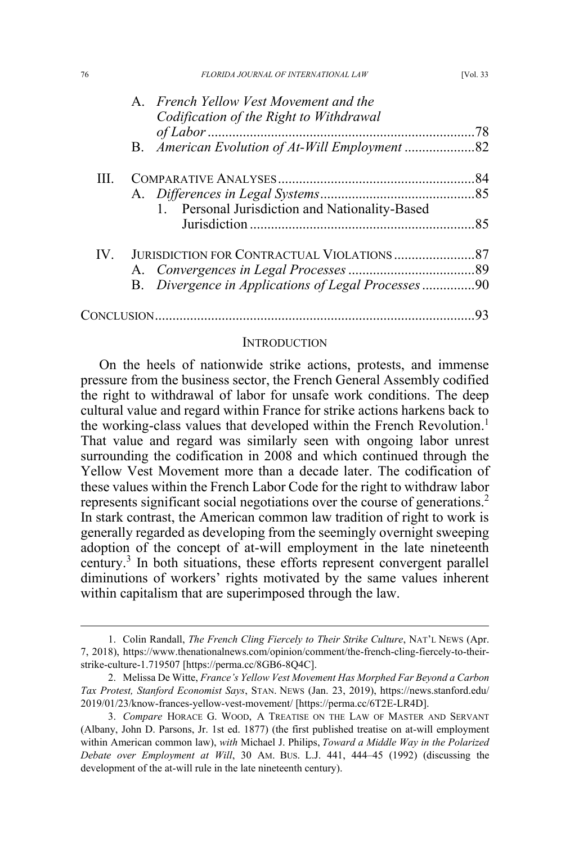| 76          | FLORIDA JOURNAL OF INTERNATIONAL LAW               | [Vol. 33] |
|-------------|----------------------------------------------------|-----------|
|             | A. French Yellow Vest Movement and the             |           |
|             | Codification of the Right to Withdrawal            |           |
|             |                                                    | 78        |
|             |                                                    |           |
| Ш           |                                                    | 84        |
|             |                                                    |           |
|             | 1. Personal Jurisdiction and Nationality-Based     |           |
|             |                                                    | 85        |
|             |                                                    |           |
|             |                                                    |           |
|             | B. Divergence in Applications of Legal Processes90 |           |
| CONCLUSION. |                                                    | 93        |

### INTRODUCTION

On the heels of nationwide strike actions, protests, and immense pressure from the business sector, the French General Assembly codified the right to withdrawal of labor for unsafe work conditions. The deep cultural value and regard within France for strike actions harkens back to the working-class values that developed within the French Revolution. 1 That value and regard was similarly seen with ongoing labor unrest surrounding the codification in 2008 and which continued through the Yellow Vest Movement more than a decade later. The codification of these values within the French Labor Code for the right to withdraw labor represents significant social negotiations over the course of generations.<sup>2</sup> In stark contrast, the American common law tradition of right to work is generally regarded as developing from the seemingly overnight sweeping adoption of the concept of at-will employment in the late nineteenth century.<sup>3</sup> In both situations, these efforts represent convergent parallel diminutions of workers' rights motivated by the same values inherent within capitalism that are superimposed through the law.

<sup>1.</sup> Colin Randall, *The French Cling Fiercely to Their Strike Culture*, NAT'L NEWS (Apr. 7, 2018), https://www.thenationalnews.com/opinion/comment/the-french-cling-fiercely-to-theirstrike-culture-1.719507 [https://perma.cc/8GB6-8Q4C].

<sup>2.</sup> Melissa De Witte, *France's Yellow Vest Movement Has Morphed Far Beyond a Carbon Tax Protest, Stanford Economist Says*, STAN. NEWS (Jan. 23, 2019), https://news.stanford.edu/ 2019/01/23/know-frances-yellow-vest-movement/ [https://perma.cc/6T2E-LR4D].

<sup>3.</sup> *Compare* HORACE G. WOOD, A TREATISE ON THE LAW OF MASTER AND SERVANT (Albany, John D. Parsons, Jr. 1st ed. 1877) (the first published treatise on at-will employment within American common law), *with* Michael J. Philips, *Toward a Middle Way in the Polarized Debate over Employment at Will*, 30 AM. BUS. L.J. 441, 444–45 (1992) (discussing the development of the at-will rule in the late nineteenth century).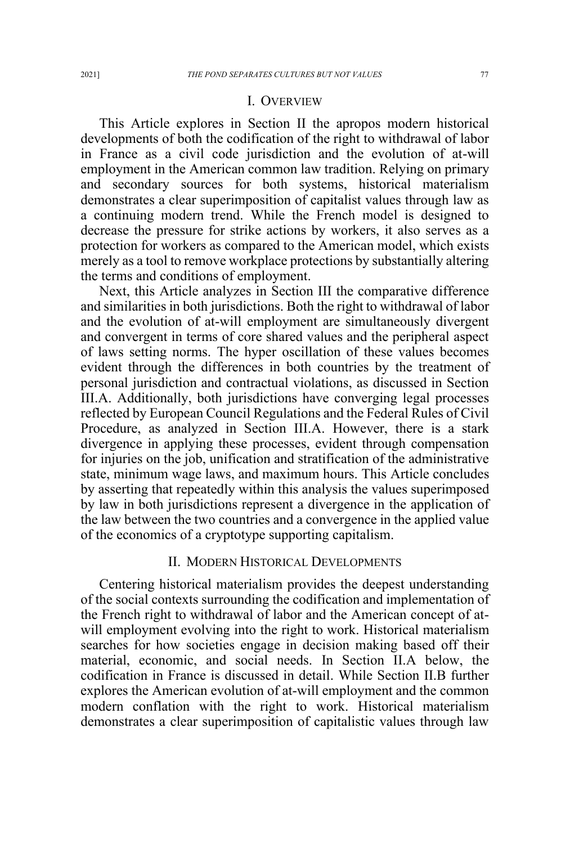#### I. OVERVIEW

This Article explores in Section II the apropos modern historical developments of both the codification of the right to withdrawal of labor in France as a civil code jurisdiction and the evolution of at-will employment in the American common law tradition. Relying on primary and secondary sources for both systems, historical materialism demonstrates a clear superimposition of capitalist values through law as a continuing modern trend. While the French model is designed to decrease the pressure for strike actions by workers, it also serves as a protection for workers as compared to the American model, which exists merely as a tool to remove workplace protections by substantially altering the terms and conditions of employment.

Next, this Article analyzes in Section III the comparative difference and similarities in both jurisdictions. Both the right to withdrawal of labor and the evolution of at-will employment are simultaneously divergent and convergent in terms of core shared values and the peripheral aspect of laws setting norms. The hyper oscillation of these values becomes evident through the differences in both countries by the treatment of personal jurisdiction and contractual violations, as discussed in Section III.A. Additionally, both jurisdictions have converging legal processes reflected by European Council Regulations and the Federal Rules of Civil Procedure, as analyzed in Section III.A. However, there is a stark divergence in applying these processes, evident through compensation for injuries on the job, unification and stratification of the administrative state, minimum wage laws, and maximum hours. This Article concludes by asserting that repeatedly within this analysis the values superimposed by law in both jurisdictions represent a divergence in the application of the law between the two countries and a convergence in the applied value of the economics of a cryptotype supporting capitalism.

## II. MODERN HISTORICAL DEVELOPMENTS

Centering historical materialism provides the deepest understanding of the social contexts surrounding the codification and implementation of the French right to withdrawal of labor and the American concept of atwill employment evolving into the right to work. Historical materialism searches for how societies engage in decision making based off their material, economic, and social needs. In Section II.A below, the codification in France is discussed in detail. While Section II.B further explores the American evolution of at-will employment and the common modern conflation with the right to work. Historical materialism demonstrates a clear superimposition of capitalistic values through law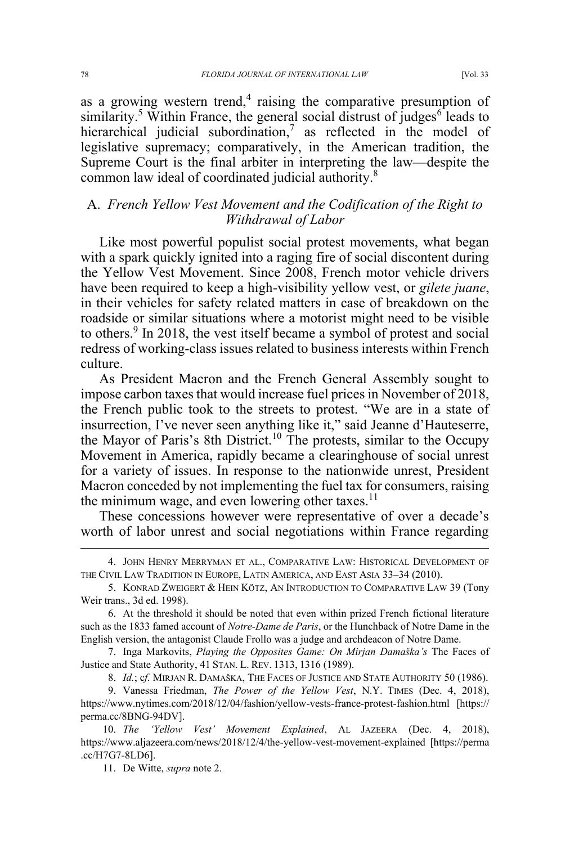as a growing western trend, $4$  raising the comparative presumption of similarity.<sup>5</sup> Within France, the general social distrust of judges<sup>6</sup> leads to hierarchical judicial subordination,<sup>7</sup> as reflected in the model of legislative supremacy; comparatively, in the American tradition, the Supreme Court is the final arbiter in interpreting the law—despite the common law ideal of coordinated judicial authority.<sup>8</sup>

# A. *French Yellow Vest Movement and the Codification of the Right to Withdrawal of Labor*

Like most powerful populist social protest movements, what began with a spark quickly ignited into a raging fire of social discontent during the Yellow Vest Movement. Since 2008, French motor vehicle drivers have been required to keep a high-visibility yellow vest, or *gilete juane*, in their vehicles for safety related matters in case of breakdown on the roadside or similar situations where a motorist might need to be visible to others.<sup>9</sup> In 2018, the vest itself became a symbol of protest and social redress of working-class issues related to business interests within French culture.

As President Macron and the French General Assembly sought to impose carbon taxes that would increase fuel prices in November of 2018, the French public took to the streets to protest. "We are in a state of insurrection, I've never seen anything like it," said Jeanne d'Hauteserre, the Mayor of Paris's 8th District.<sup>10</sup> The protests, similar to the Occupy Movement in America, rapidly became a clearinghouse of social unrest for a variety of issues. In response to the nationwide unrest, President Macron conceded by not implementing the fuel tax for consumers, raising the minimum wage, and even lowering other taxes.<sup>11</sup>

These concessions however were representative of over a decade's worth of labor unrest and social negotiations within France regarding

<sup>4.</sup> JOHN HENRY MERRYMAN ET AL., COMPARATIVE LAW: HISTORICAL DEVELOPMENT OF THE CIVIL LAW TRADITION IN EUROPE, LATIN AMERICA, AND EAST ASIA 33–34 (2010).

<sup>5.</sup> KONRAD ZWEIGERT & HEIN KÖTZ, AN INTRODUCTION TO COMPARATIVE LAW 39 (Tony Weir trans., 3d ed. 1998).

<sup>6.</sup> At the threshold it should be noted that even within prized French fictional literature such as the 1833 famed account of *Notre-Dame de Paris*, or the Hunchback of Notre Dame in the English version, the antagonist Claude Frollo was a judge and archdeacon of Notre Dame.

<sup>7.</sup> Inga Markovits, *Playing the Opposites Game: On Mirjan Damaška's* The Faces of Justice and State Authority, 41 STAN. L. REV. 1313, 1316 (1989).

<sup>8.</sup> *Id.*; c*f.* MIRJAN R. DAMAŠKA, THE FACES OF JUSTICE AND STATE AUTHORITY 50 (1986).

<sup>9.</sup> Vanessa Friedman, *The Power of the Yellow Vest*, N.Y. TIMES (Dec. 4, 2018), https://www.nytimes.com/2018/12/04/fashion/yellow-vests-france-protest-fashion.html [https:// perma.cc/8BNG-94DV].

<sup>10.</sup> *The 'Yellow Vest' Movement Explained*, AL JAZEERA (Dec. 4, 2018), https://www.aljazeera.com/news/2018/12/4/the-yellow-vest-movement-explained [https://perma .cc/H7G7-8LD6].

<sup>11.</sup> De Witte, *supra* note 2.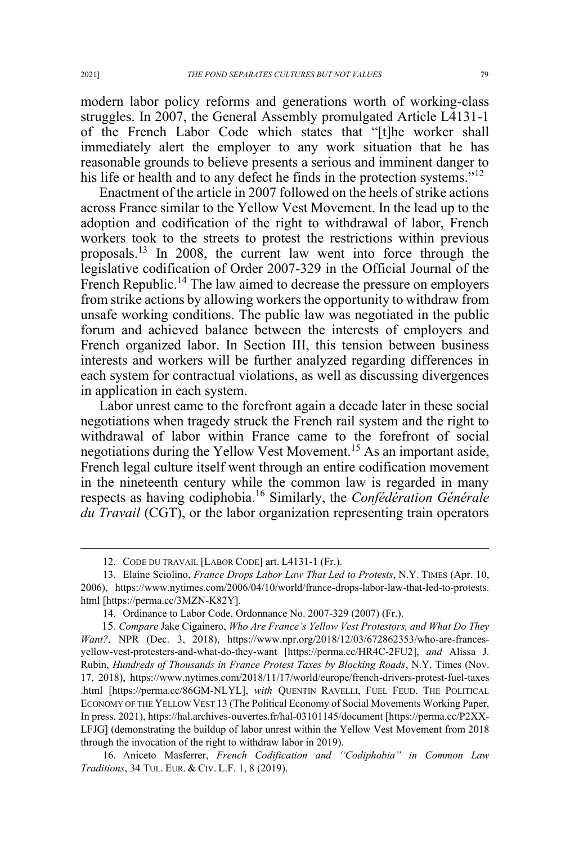modern labor policy reforms and generations worth of working-class struggles. In 2007, the General Assembly promulgated Article L4131-1 of the French Labor Code which states that "[t]he worker shall immediately alert the employer to any work situation that he has reasonable grounds to believe presents a serious and imminent danger to his life or health and to any defect he finds in the protection systems."<sup>12</sup>

Enactment of the article in 2007 followed on the heels of strike actions across France similar to the Yellow Vest Movement. In the lead up to the adoption and codification of the right to withdrawal of labor, French workers took to the streets to protest the restrictions within previous proposals.<sup>13</sup> In 2008, the current law went into force through the legislative codification of Order 2007-329 in the Official Journal of the French Republic.<sup>14</sup> The law aimed to decrease the pressure on employers from strike actions by allowing workers the opportunity to withdraw from unsafe working conditions. The public law was negotiated in the public forum and achieved balance between the interests of employers and French organized labor. In Section III, this tension between business interests and workers will be further analyzed regarding differences in each system for contractual violations, as well as discussing divergences in application in each system.

Labor unrest came to the forefront again a decade later in these social negotiations when tragedy struck the French rail system and the right to withdrawal of labor within France came to the forefront of social negotiations during the Yellow Vest Movement.<sup>15</sup> As an important aside, French legal culture itself went through an entire codification movement in the nineteenth century while the common law is regarded in many respects as having codiphobia.<sup>16</sup> Similarly, the *Confédération Générale du Travail* (CGT), or the labor organization representing train operators

<sup>12.</sup> CODE DU TRAVAIL [LABOR CODE] art. L4131-1 (Fr.).

<sup>13.</sup> Elaine Sciolino, *France Drops Labor Law That Led to Protests*, N.Y. TIMES (Apr. 10, 2006), https://www.nytimes.com/2006/04/10/world/france-drops-labor-law-that-led-to-protests. html [https://perma.cc/3MZN-K82Y].

<sup>14.</sup> Ordinance to Labor Code, Ordonnance No. 2007-329 (2007) (Fr.).

<sup>15.</sup> *Compare* Jake Cigainero, *Who Are France's Yellow Vest Protestors, and What Do They Want?*, NPR (Dec. 3, 2018), https://www.npr.org/2018/12/03/672862353/who-are-francesyellow-vest-protesters-and-what-do-they-want [https://perma.cc/HR4C-2FU2], *and* Alissa J. Rubin, *Hundreds of Thousands in France Protest Taxes by Blocking Roads*, N.Y. Times (Nov. 17, 2018), https://www.nytimes.com/2018/11/17/world/europe/french-drivers-protest-fuel-taxes .html [https://perma.cc/86GM-NLYL], *with* QUENTIN RAVELLI, FUEL FEUD. THE POLITICAL ECONOMY OF THE YELLOW VEST 13 (The Political Economy of Social Movements Working Paper, In press. 2021), https://hal.archives-ouvertes.fr/hal-03101145/document [https://perma.cc/P2XX-LFJG] (demonstrating the buildup of labor unrest within the Yellow Vest Movement from 2018 through the invocation of the right to withdraw labor in 2019).

<sup>16.</sup> Aniceto Masferrer, *French Codification and "Codiphobia" in Common Law Traditions*, 34 TUL. EUR. & CIV. L.F. 1, 8 (2019).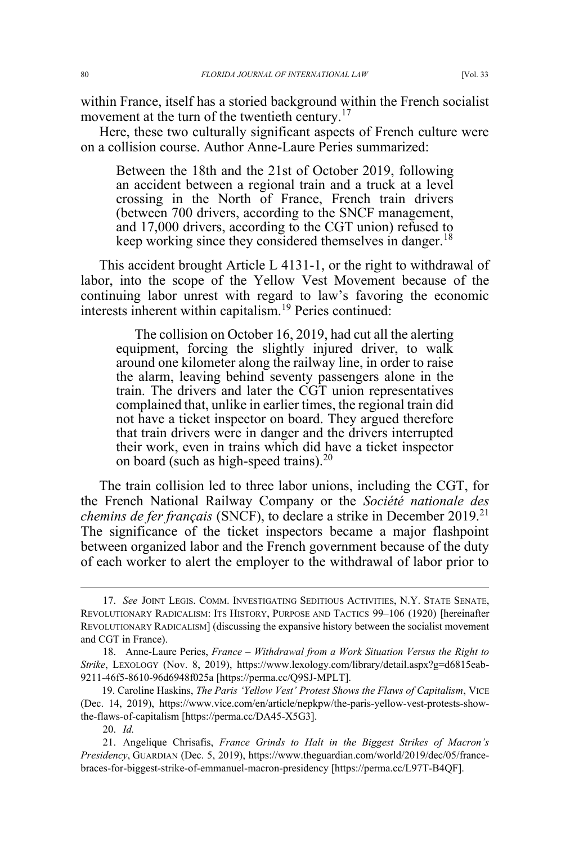within France, itself has a storied background within the French socialist movement at the turn of the twentieth century.<sup>17</sup>

Here, these two culturally significant aspects of French culture were on a collision course. Author Anne-Laure Peries summarized:

Between the 18th and the 21st of October 2019, following an accident between a regional train and a truck at a level crossing in the North of France, French train drivers (between 700 drivers, according to the SNCF management, and 17,000 drivers, according to the CGT union) refused to keep working since they considered themselves in danger.<sup>18</sup>

This accident brought Article L 4131-1, or the right to withdrawal of labor, into the scope of the Yellow Vest Movement because of the continuing labor unrest with regard to law's favoring the economic interests inherent within capitalism.<sup>19</sup> Peries continued:

The collision on October 16, 2019, had cut all the alerting equipment, forcing the slightly injured driver, to walk around one kilometer along the railway line, in order to raise the alarm, leaving behind seventy passengers alone in the train. The drivers and later the CGT union representatives complained that, unlike in earlier times, the regional train did not have a ticket inspector on board. They argued therefore that train drivers were in danger and the drivers interrupted their work, even in trains which did have a ticket inspector on board (such as high-speed trains). $20$ 

The train collision led to three labor unions, including the CGT, for the French National Railway Company or the *Société nationale des chemins de fer français* (SNCF), to declare a strike in December 2019.<sup>21</sup> The significance of the ticket inspectors became a major flashpoint between organized labor and the French government because of the duty of each worker to alert the employer to the withdrawal of labor prior to

<sup>17.</sup> *See* JOINT LEGIS. COMM. INVESTIGATING SEDITIOUS ACTIVITIES, N.Y. STATE SENATE, REVOLUTIONARY RADICALISM: ITS HISTORY, PURPOSE AND TACTICS 99–106 (1920) [hereinafter REVOLUTIONARY RADICALISM] (discussing the expansive history between the socialist movement and CGT in France).

<sup>18.</sup> Anne-Laure Peries, *France – Withdrawal from a Work Situation Versus the Right to Strike*, LEXOLOGY (Nov. 8, 2019), https://www.lexology.com/library/detail.aspx?g=d6815eab-9211-46f5-8610-96d6948f025a [https://perma.cc/Q9SJ-MPLT].

<sup>19.</sup> Caroline Haskins, *The Paris 'Yellow Vest' Protest Shows the Flaws of Capitalism*, VICE (Dec. 14, 2019), https://www.vice.com/en/article/nepkpw/the-paris-yellow-vest-protests-showthe-flaws-of-capitalism [https://perma.cc/DA45-X5G3].

<sup>20.</sup> *Id.*

<sup>21.</sup> Angelique Chrisafis, *France Grinds to Halt in the Biggest Strikes of Macron's Presidency*, GUARDIAN (Dec. 5, 2019), https://www.theguardian.com/world/2019/dec/05/francebraces-for-biggest-strike-of-emmanuel-macron-presidency [https://perma.cc/L97T-B4QF].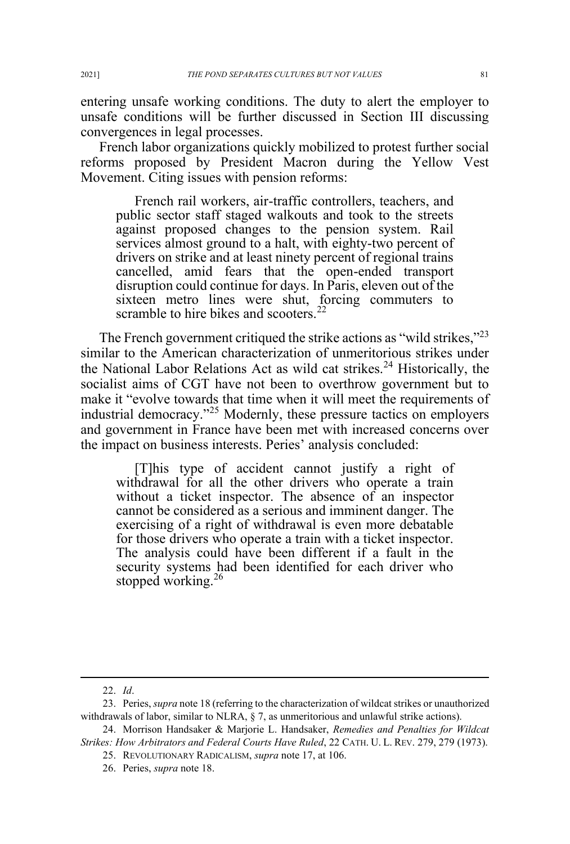entering unsafe working conditions. The duty to alert the employer to unsafe conditions will be further discussed in Section III discussing convergences in legal processes.

French labor organizations quickly mobilized to protest further social reforms proposed by President Macron during the Yellow Vest Movement. Citing issues with pension reforms:

French rail workers, air-traffic controllers, teachers, and public sector staff staged walkouts and took to the streets against proposed changes to the pension system. Rail services almost ground to a halt, with eighty-two percent of drivers on strike and at least ninety percent of regional trains cancelled, amid fears that the open-ended transport disruption could continue for days. In Paris, eleven out of the sixteen metro lines were shut, forcing commuters to scramble to hire bikes and scooters. $^{22}$ 

The French government critiqued the strike actions as "wild strikes,"<sup>23</sup> similar to the American characterization of unmeritorious strikes under the National Labor Relations Act as wild cat strikes.<sup>24</sup> Historically, the socialist aims of CGT have not been to overthrow government but to make it "evolve towards that time when it will meet the requirements of industrial democracy."<sup>25</sup> Modernly, these pressure tactics on employers and government in France have been met with increased concerns over the impact on business interests. Peries' analysis concluded:

[T]his type of accident cannot justify a right of withdrawal for all the other drivers who operate a train without a ticket inspector. The absence of an inspector cannot be considered as a serious and imminent danger. The exercising of a right of withdrawal is even more debatable for those drivers who operate a train with a ticket inspector. The analysis could have been different if a fault in the security systems had been identified for each driver who stopped working.<sup>26</sup>

<sup>22.</sup> *Id*.

<sup>23.</sup> Peries, *supra* note 18 (referring to the characterization of wildcat strikes or unauthorized withdrawals of labor, similar to NLRA, § 7, as unmeritorious and unlawful strike actions).

<sup>24.</sup> Morrison Handsaker & Marjorie L. Handsaker, *Remedies and Penalties for Wildcat Strikes: How Arbitrators and Federal Courts Have Ruled*, 22 CATH. U. L. REV. 279, 279 (1973).

<sup>25.</sup> REVOLUTIONARY RADICALISM, *supra* note 17, at 106.

<sup>26.</sup> Peries, *supra* note 18.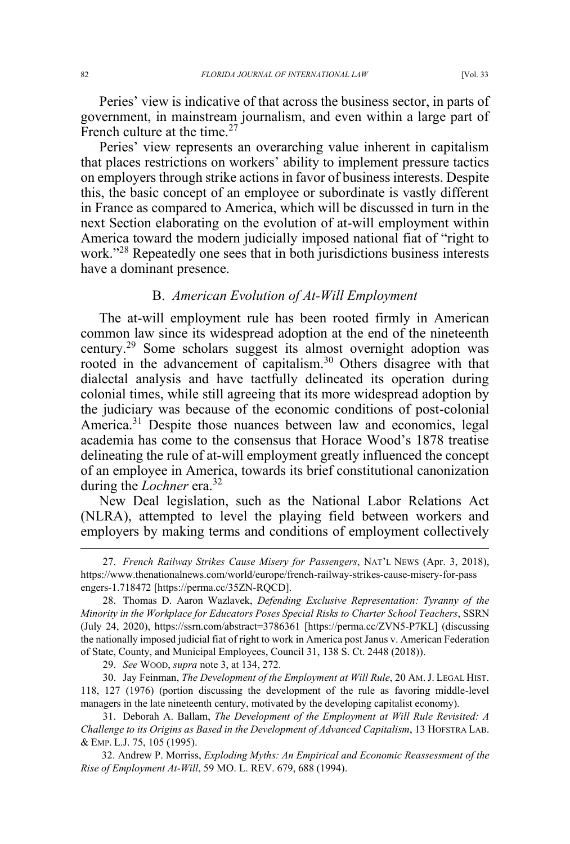Peries' view is indicative of that across the business sector, in parts of government, in mainstream journalism, and even within a large part of French culture at the time.<sup>27</sup>

Peries' view represents an overarching value inherent in capitalism that places restrictions on workers' ability to implement pressure tactics on employers through strike actions in favor of business interests. Despite this, the basic concept of an employee or subordinate is vastly different in France as compared to America, which will be discussed in turn in the next Section elaborating on the evolution of at-will employment within America toward the modern judicially imposed national fiat of "right to work."<sup>28</sup> Repeatedly one sees that in both jurisdictions business interests have a dominant presence.

#### B. *American Evolution of At-Will Employment*

The at-will employment rule has been rooted firmly in American common law since its widespread adoption at the end of the nineteenth century.<sup>29</sup> Some scholars suggest its almost overnight adoption was rooted in the advancement of capitalism.<sup>30</sup> Others disagree with that dialectal analysis and have tactfully delineated its operation during colonial times, while still agreeing that its more widespread adoption by the judiciary was because of the economic conditions of post-colonial America.<sup>31</sup> Despite those nuances between law and economics, legal academia has come to the consensus that Horace Wood's 1878 treatise delineating the rule of at-will employment greatly influenced the concept of an employee in America, towards its brief constitutional canonization during the *Lochner* era.<sup>32</sup>

New Deal legislation, such as the National Labor Relations Act (NLRA), attempted to level the playing field between workers and employers by making terms and conditions of employment collectively

<sup>27.</sup> *French Railway Strikes Cause Misery for Passengers*, NAT'L NEWS (Apr. 3, 2018), https://www.thenationalnews.com/world/europe/french-railway-strikes-cause-misery-for-pass engers-1.718472 [https://perma.cc/35ZN-RQCD].

<sup>28.</sup> Thomas D. Aaron Wazlavek, *Defending Exclusive Representation: Tyranny of the Minority in the Workplace for Educators Poses Special Risks to Charter School Teachers*, SSRN (July 24, 2020), https://ssrn.com/abstract=3786361 [https://perma.cc/ZVN5-P7KL] (discussing the nationally imposed judicial fiat of right to work in America post Janus v. American Federation of State, County, and Municipal Employees, Council 31, 138 S. Ct. 2448 (2018)).

<sup>29.</sup> *See* WOOD, *supra* note 3, at 134, 272.

<sup>30.</sup> Jay Feinman, *The Development of the Employment at Will Rule*, 20 AM.J. LEGAL HIST. 118, 127 (1976) (portion discussing the development of the rule as favoring middle-level managers in the late nineteenth century, motivated by the developing capitalist economy).

<sup>31.</sup> Deborah A. Ballam, *The Development of the Employment at Will Rule Revisited: A Challenge to its Origins as Based in the Development of Advanced Capitalism*, 13 HOFSTRA LAB. & EMP. L.J. 75, 105 (1995).

<sup>32.</sup> Andrew P. Morriss, *Exploding Myths: An Empirical and Economic Reassessment of the Rise of Employment At-Will*, 59 MO. L. REV. 679, 688 (1994).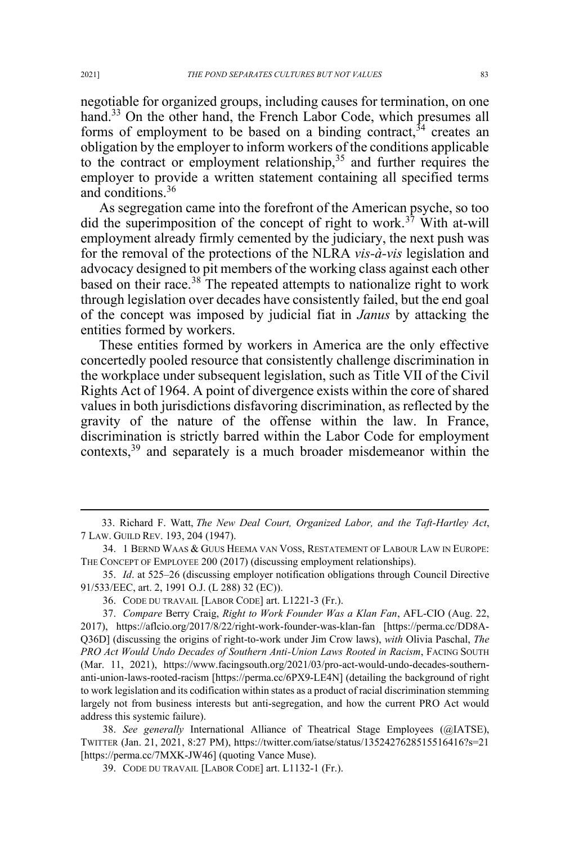negotiable for organized groups, including causes for termination, on one hand.<sup>33</sup> On the other hand, the French Labor Code, which presumes all forms of employment to be based on a binding contract,  $34$  creates an obligation by the employer to inform workers of the conditions applicable to the contract or employment relationship,<sup>35</sup> and further requires the employer to provide a written statement containing all specified terms and conditions.<sup>36</sup>

As segregation came into the forefront of the American psyche, so too did the superimposition of the concept of right to work.<sup>37</sup> With at-will employment already firmly cemented by the judiciary, the next push was for the removal of the protections of the NLRA *vis-à-vis* legislation and advocacy designed to pit members of the working class against each other based on their race.<sup>38</sup> The repeated attempts to nationalize right to work through legislation over decades have consistently failed, but the end goal of the concept was imposed by judicial fiat in *Janus* by attacking the entities formed by workers.

These entities formed by workers in America are the only effective concertedly pooled resource that consistently challenge discrimination in the workplace under subsequent legislation, such as Title VII of the Civil Rights Act of 1964. A point of divergence exists within the core of shared values in both jurisdictions disfavoring discrimination, as reflected by the gravity of the nature of the offense within the law. In France, discrimination is strictly barred within the Labor Code for employment contexts,<sup>39</sup> and separately is a much broader misdemeanor within the

38. *See generally* International Alliance of Theatrical Stage Employees (@IATSE), TWITTER (Jan. 21, 2021, 8:27 PM), https://twitter.com/iatse/status/1352427628515516416?s=21 [https://perma.cc/7MXK-JW46] (quoting Vance Muse).

39. CODE DU TRAVAIL [LABOR CODE] art. L1132-1 (Fr.).

<sup>33.</sup> Richard F. Watt, *The New Deal Court, Organized Labor, and the Taft-Hartley Act*, 7 LAW. GUILD REV. 193, 204 (1947).

<sup>34.</sup> 1 BERND WAAS & GUUS HEEMA VAN VOSS, RESTATEMENT OF LABOUR LAW IN EUROPE: THE CONCEPT OF EMPLOYEE 200 (2017) (discussing employment relationships).

<sup>35.</sup> *Id*. at 525–26 (discussing employer notification obligations through Council Directive 91/533/EEC, art. 2, 1991 O.J. (L 288) 32 (EC)).

<sup>36.</sup> CODE DU TRAVAIL [LABOR CODE] art. L1221-3 (Fr.).

<sup>37.</sup> *Compare* Berry Craig, *Right to Work Founder Was a Klan Fan*, AFL-CIO (Aug. 22, 2017), https://aflcio.org/2017/8/22/right-work-founder-was-klan-fan [https://perma.cc/DD8A-Q36D] (discussing the origins of right-to-work under Jim Crow laws), *with* Olivia Paschal, *The PRO Act Would Undo Decades of Southern Anti-Union Laws Rooted in Racism*, FACING SOUTH (Mar. 11, 2021), https://www.facingsouth.org/2021/03/pro-act-would-undo-decades-southernanti-union-laws-rooted-racism [https://perma.cc/6PX9-LE4N] (detailing the background of right to work legislation and its codification within states as a product of racial discrimination stemming largely not from business interests but anti-segregation, and how the current PRO Act would address this systemic failure).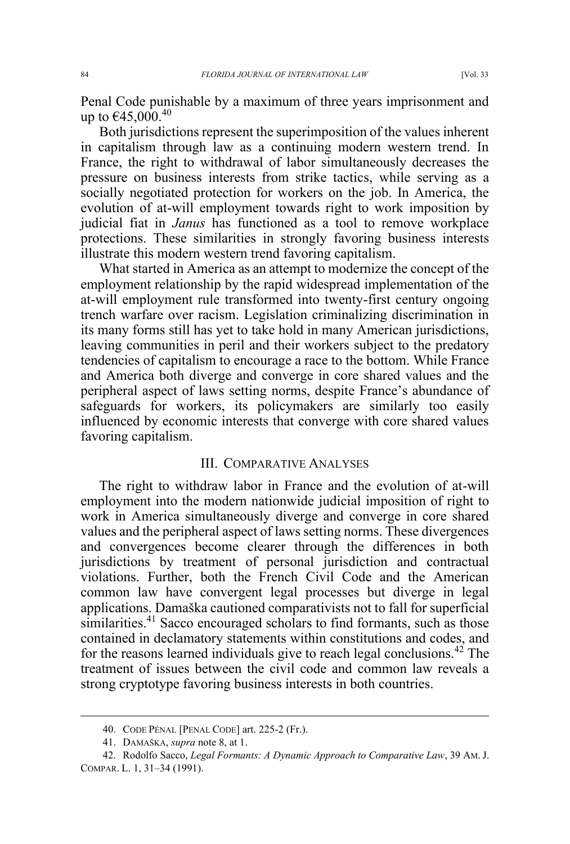Penal Code punishable by a maximum of three years imprisonment and up to €45,000.<sup>40</sup>

Both jurisdictions represent the superimposition of the values inherent in capitalism through law as a continuing modern western trend. In France, the right to withdrawal of labor simultaneously decreases the pressure on business interests from strike tactics, while serving as a socially negotiated protection for workers on the job. In America, the evolution of at-will employment towards right to work imposition by judicial fiat in *Janus* has functioned as a tool to remove workplace protections. These similarities in strongly favoring business interests illustrate this modern western trend favoring capitalism.

What started in America as an attempt to modernize the concept of the employment relationship by the rapid widespread implementation of the at-will employment rule transformed into twenty-first century ongoing trench warfare over racism. Legislation criminalizing discrimination in its many forms still has yet to take hold in many American jurisdictions, leaving communities in peril and their workers subject to the predatory tendencies of capitalism to encourage a race to the bottom. While France and America both diverge and converge in core shared values and the peripheral aspect of laws setting norms, despite France's abundance of safeguards for workers, its policymakers are similarly too easily influenced by economic interests that converge with core shared values favoring capitalism.

## III. COMPARATIVE ANALYSES

The right to withdraw labor in France and the evolution of at-will employment into the modern nationwide judicial imposition of right to work in America simultaneously diverge and converge in core shared values and the peripheral aspect of laws setting norms. These divergences and convergences become clearer through the differences in both jurisdictions by treatment of personal jurisdiction and contractual violations. Further, both the French Civil Code and the American common law have convergent legal processes but diverge in legal applications. Damaška cautioned comparativists not to fall for superficial similarities.<sup>41</sup> Sacco encouraged scholars to find formants, such as those contained in declamatory statements within constitutions and codes, and for the reasons learned individuals give to reach legal conclusions.<sup>42</sup> The treatment of issues between the civil code and common law reveals a strong cryptotype favoring business interests in both countries.

<sup>40.</sup> CODE PÉNAL [PENAL CODE] art. 225-2 (Fr.).

<sup>41.</sup> DAMAŠKA, *supra* note 8, at 1.

<sup>42.</sup> Rodolfo Sacco, *Legal Formants: A Dynamic Approach to Comparative Law*, 39 AM. J. COMPAR. L. 1, 31–34 (1991).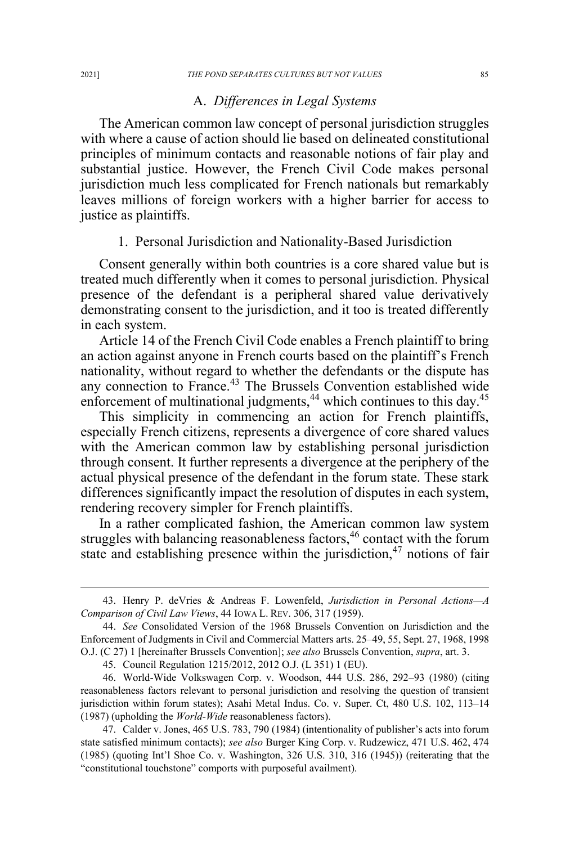## A. *Differences in Legal Systems*

The American common law concept of personal jurisdiction struggles with where a cause of action should lie based on delineated constitutional principles of minimum contacts and reasonable notions of fair play and substantial justice. However, the French Civil Code makes personal jurisdiction much less complicated for French nationals but remarkably leaves millions of foreign workers with a higher barrier for access to justice as plaintiffs.

#### 1. Personal Jurisdiction and Nationality-Based Jurisdiction

Consent generally within both countries is a core shared value but is treated much differently when it comes to personal jurisdiction. Physical presence of the defendant is a peripheral shared value derivatively demonstrating consent to the jurisdiction, and it too is treated differently in each system.

Article 14 of the French Civil Code enables a French plaintiff to bring an action against anyone in French courts based on the plaintiff's French nationality, without regard to whether the defendants or the dispute has any connection to France.<sup>43</sup> The Brussels Convention established wide enforcement of multinational judgments, $44$  which continues to this day. $45$ 

This simplicity in commencing an action for French plaintiffs, especially French citizens, represents a divergence of core shared values with the American common law by establishing personal jurisdiction through consent. It further represents a divergence at the periphery of the actual physical presence of the defendant in the forum state. These stark differences significantly impact the resolution of disputes in each system, rendering recovery simpler for French plaintiffs.

In a rather complicated fashion, the American common law system struggles with balancing reasonableness factors,<sup>46</sup> contact with the forum state and establishing presence within the jurisdiction, $47$  notions of fair

<sup>43.</sup> Henry P. deVries & Andreas F. Lowenfeld, *Jurisdiction in Personal Actions—A Comparison of Civil Law Views*, 44 IOWA L. REV. 306, 317 (1959).

<sup>44.</sup> *See* Consolidated Version of the 1968 Brussels Convention on Jurisdiction and the Enforcement of Judgments in Civil and Commercial Matters arts. 25–49, 55, Sept. 27, 1968, 1998 O.J. (C 27) 1 [hereinafter Brussels Convention]; *see also* Brussels Convention, *supra*, art. 3.

<sup>45.</sup> Council Regulation 1215/2012, 2012 O.J. (L 351) 1 (EU).

<sup>46.</sup> World-Wide Volkswagen Corp. v. Woodson, 444 U.S. 286, 292–93 (1980) (citing reasonableness factors relevant to personal jurisdiction and resolving the question of transient jurisdiction within forum states); Asahi Metal Indus. Co. v. Super. Ct, 480 U.S. 102, 113–14 (1987) (upholding the *World-Wide* reasonableness factors).

<sup>47.</sup> Calder v. Jones, 465 U.S. 783, 790 (1984) (intentionality of publisher's acts into forum state satisfied minimum contacts); *see also* Burger King Corp. v. Rudzewicz, 471 U.S. 462, 474 (1985) (quoting Int'l Shoe Co. v. Washington, 326 U.S. 310, 316 (1945)) (reiterating that the "constitutional touchstone" comports with purposeful availment).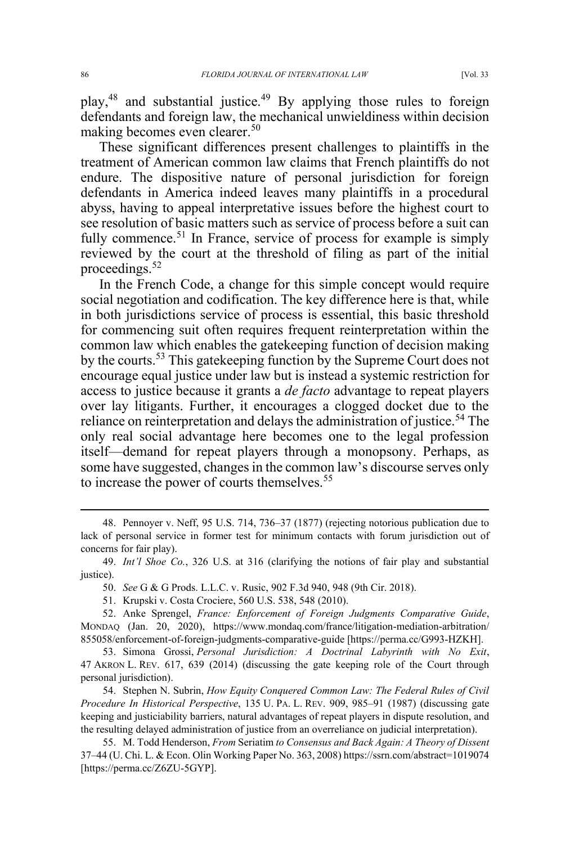play,48 and substantial justice.<sup>49</sup> By applying those rules to foreign defendants and foreign law, the mechanical unwieldiness within decision making becomes even clearer.<sup>50</sup>

These significant differences present challenges to plaintiffs in the treatment of American common law claims that French plaintiffs do not endure. The dispositive nature of personal jurisdiction for foreign defendants in America indeed leaves many plaintiffs in a procedural abyss, having to appeal interpretative issues before the highest court to see resolution of basic matters such as service of process before a suit can fully commence.<sup>51</sup> In France, service of process for example is simply reviewed by the court at the threshold of filing as part of the initial proceedings. $52$ 

In the French Code, a change for this simple concept would require social negotiation and codification. The key difference here is that, while in both jurisdictions service of process is essential, this basic threshold for commencing suit often requires frequent reinterpretation within the common law which enables the gatekeeping function of decision making by the courts.<sup>53</sup> This gatekeeping function by the Supreme Court does not encourage equal justice under law but is instead a systemic restriction for access to justice because it grants a *de facto* advantage to repeat players over lay litigants. Further, it encourages a clogged docket due to the reliance on reinterpretation and delays the administration of justice.<sup>54</sup> The only real social advantage here becomes one to the legal profession itself—demand for repeat players through a monopsony. Perhaps, as some have suggested, changes in the common law's discourse serves only to increase the power of courts themselves.<sup>55</sup>

<sup>48.</sup> Pennoyer v. Neff, 95 U.S. 714, 736–37 (1877) (rejecting notorious publication due to lack of personal service in former test for minimum contacts with forum jurisdiction out of concerns for fair play).

<sup>49.</sup> *Int'l Shoe Co.*, 326 U.S. at 316 (clarifying the notions of fair play and substantial justice).

<sup>50.</sup> *See* G & G Prods. L.L.C. v. Rusic, 902 F.3d 940, 948 (9th Cir. 2018).

<sup>51.</sup> Krupski v. Costa Crociere, 560 U.S. 538, 548 (2010).

<sup>52.</sup> Anke Sprengel, *France: Enforcement of Foreign Judgments Comparative Guide*, MONDAQ (Jan. 20, 2020), https://www.mondaq.com/france/litigation-mediation-arbitration/ 855058/enforcement-of-foreign-judgments-comparative-guide [https://perma.cc/G993-HZKH].

<sup>53.</sup> Simona Grossi, *Personal Jurisdiction: A Doctrinal Labyrinth with No Exit*, 47 AKRON L. REV. 617, 639 (2014) (discussing the gate keeping role of the Court through personal jurisdiction).

<sup>54.</sup> Stephen N. Subrin, *How Equity Conquered Common Law: The Federal Rules of Civil Procedure In Historical Perspective*, 135 U. PA. L. REV. 909, 985–91 (1987) (discussing gate keeping and justiciability barriers, natural advantages of repeat players in dispute resolution, and the resulting delayed administration of justice from an overreliance on judicial interpretation).

<sup>55.</sup> M. Todd Henderson, *From* Seriatim *to Consensus and Back Again: A Theory of Dissent* 37–44 (U. Chi. L. & Econ. Olin Working Paper No. 363, 2008) https://ssrn.com/abstract=1019074 [https://perma.cc/Z6ZU-5GYP].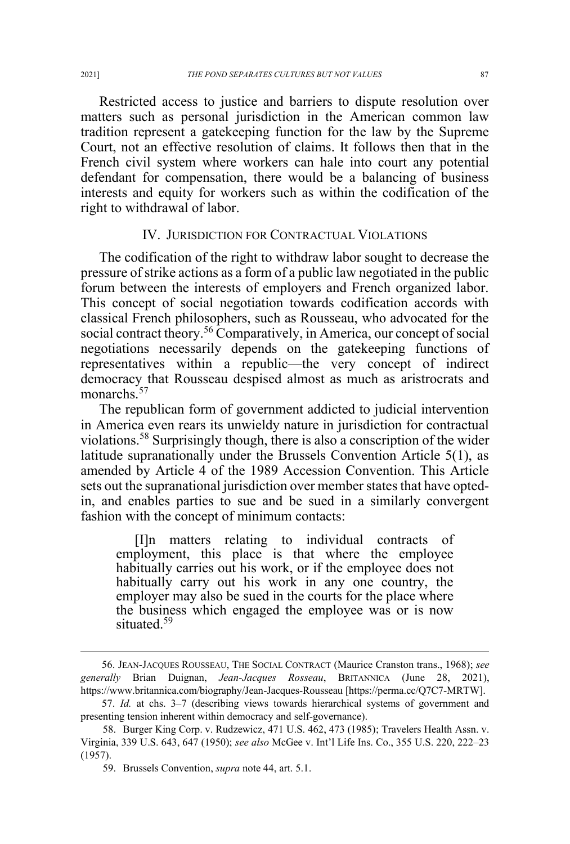Restricted access to justice and barriers to dispute resolution over matters such as personal jurisdiction in the American common law tradition represent a gatekeeping function for the law by the Supreme Court, not an effective resolution of claims. It follows then that in the French civil system where workers can hale into court any potential defendant for compensation, there would be a balancing of business interests and equity for workers such as within the codification of the right to withdrawal of labor.

# IV. JURISDICTION FOR CONTRACTUAL VIOLATIONS

The codification of the right to withdraw labor sought to decrease the pressure of strike actions as a form of a public law negotiated in the public forum between the interests of employers and French organized labor. This concept of social negotiation towards codification accords with classical French philosophers, such as Rousseau, who advocated for the social contract theory.<sup>56</sup> Comparatively, in America, our concept of social negotiations necessarily depends on the gatekeeping functions of representatives within a republic—the very concept of indirect democracy that Rousseau despised almost as much as aristrocrats and monarchs.<sup>57</sup>

The republican form of government addicted to judicial intervention in America even rears its unwieldy nature in jurisdiction for contractual violations.58 Surprisingly though, there is also a conscription of the wider latitude supranationally under the Brussels Convention Article 5(1), as amended by Article 4 of the 1989 Accession Convention. This Article sets out the supranational jurisdiction over member states that have optedin, and enables parties to sue and be sued in a similarly convergent fashion with the concept of minimum contacts:

[I]n matters relating to individual contracts of employment, this place is that where the employee habitually carries out his work, or if the employee does not habitually carry out his work in any one country, the employer may also be sued in the courts for the place where the business which engaged the employee was or is now situated<sup>59</sup>

<sup>56.</sup> JEAN-JACQUES ROUSSEAU, THE SOCIAL CONTRACT (Maurice Cranston trans., 1968); *see generally* Brian Duignan, *Jean-Jacques Rosseau*, BRITANNICA (June 28, 2021), https://www.britannica.com/biography/Jean-Jacques-Rousseau [https://perma.cc/Q7C7-MRTW].

<sup>57.</sup> *Id.* at chs. 3–7 (describing views towards hierarchical systems of government and presenting tension inherent within democracy and self-governance).

<sup>58.</sup> Burger King Corp. v. Rudzewicz, 471 U.S. 462, 473 (1985); Travelers Health Assn. v. Virginia, 339 U.S. 643, 647 (1950); *see also* McGee v. Int'l Life Ins. Co., 355 U.S. 220, 222–23 (1957).

<sup>59.</sup> Brussels Convention, *supra* note 44, art. 5.1.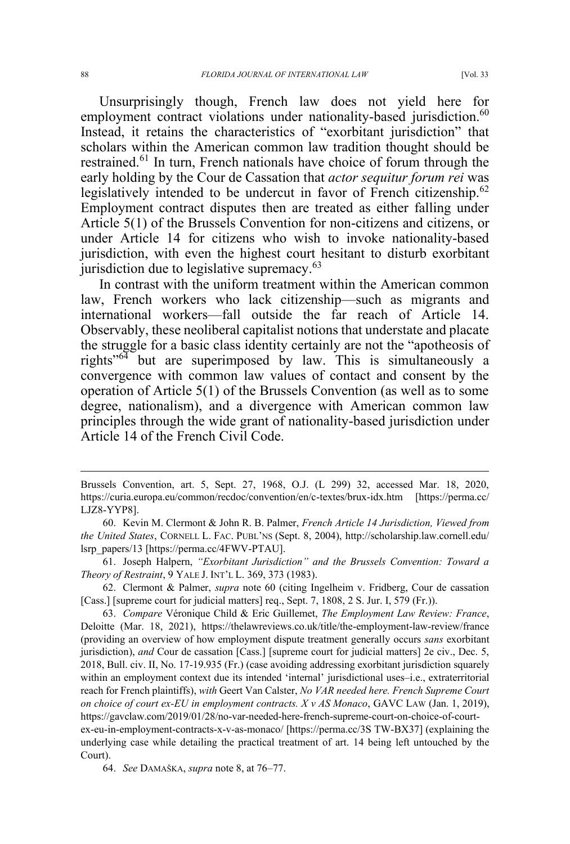Unsurprisingly though, French law does not yield here for employment contract violations under nationality-based jurisdiction.<sup>60</sup> Instead, it retains the characteristics of "exorbitant jurisdiction" that scholars within the American common law tradition thought should be restrained.<sup>61</sup> In turn, French nationals have choice of forum through the early holding by the Cour de Cassation that *actor sequitur forum rei* was legislatively intended to be undercut in favor of French citizenship.<sup>62</sup> Employment contract disputes then are treated as either falling under Article 5(1) of the Brussels Convention for non-citizens and citizens, or under Article 14 for citizens who wish to invoke nationality-based jurisdiction, with even the highest court hesitant to disturb exorbitant jurisdiction due to legislative supremacy.<sup>63</sup>

In contrast with the uniform treatment within the American common law, French workers who lack citizenship—such as migrants and international workers—fall outside the far reach of Article 14. Observably, these neoliberal capitalist notions that understate and placate the struggle for a basic class identity certainly are not the "apotheosis of rights"<sup>64</sup> but are superimposed by law. This is simultaneously a convergence with common law values of contact and consent by the operation of Article 5(1) of the Brussels Convention (as well as to some degree, nationalism), and a divergence with American common law principles through the wide grant of nationality-based jurisdiction under Article 14 of the French Civil Code.

Brussels Convention, art. 5, Sept. 27, 1968, O.J. (L 299) 32, accessed Mar. 18, 2020, https://curia.europa.eu/common/recdoc/convention/en/c-textes/brux-idx.htm [https://perma.cc/ LJZ8-YYP8].

<sup>60.</sup> Kevin M. Clermont & John R. B. Palmer, *French Article 14 Jurisdiction, Viewed from the United States*, CORNELL L. FAC. PUBL'NS (Sept. 8, 2004), http://scholarship.law.cornell.edu/ lsrp\_papers/13 [https://perma.cc/4FWV-PTAU].

<sup>61.</sup> Joseph Halpern, *"Exorbitant Jurisdiction" and the Brussels Convention: Toward a Theory of Restraint*, 9 YALE J. INT'L L. 369, 373 (1983).

<sup>62.</sup> Clermont & Palmer, *supra* note 60 (citing Ingelheim v. Fridberg, Cour de cassation [Cass.] [supreme court for judicial matters] req., Sept. 7, 1808, 2 S. Jur. I, 579 (Fr.)).

<sup>63.</sup> *Compare* Véronique Child & Eric Guillemet, *The Employment Law Review: France*, Deloitte (Mar. 18, 2021), https://thelawreviews.co.uk/title/the-employment-law-review/france (providing an overview of how employment dispute treatment generally occurs *sans* exorbitant jurisdiction), *and* Cour de cassation [Cass.] [supreme court for judicial matters] 2e civ., Dec. 5, 2018, Bull. civ. II, No. 17-19.935 (Fr.) (case avoiding addressing exorbitant jurisdiction squarely within an employment context due its intended 'internal' jurisdictional uses–i.e., extraterritorial reach for French plaintiffs), *with* Geert Van Calster, *No VAR needed here. French Supreme Court on choice of court ex-EU in employment contracts. X v AS Monaco*, GAVC LAW (Jan. 1, 2019), https://gavclaw.com/2019/01/28/no-var-needed-here-french-supreme-court-on-choice-of-courtex-eu-in-employment-contracts-x-v-as-monaco/ [https://perma.cc/3S TW-BX37] (explaining the underlying case while detailing the practical treatment of art. 14 being left untouched by the Court).

<sup>64.</sup> *See* DAMAŠKA, *supra* note 8, at 76–77.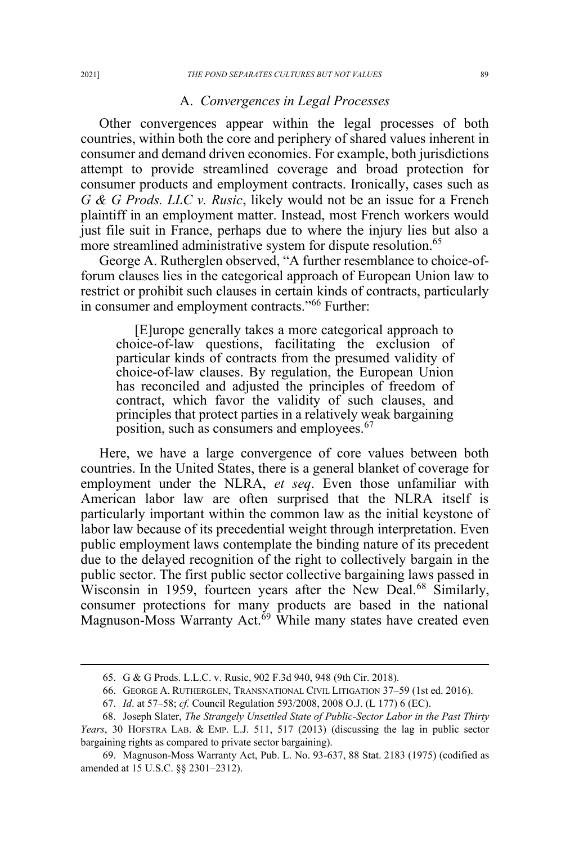#### A. *Convergences in Legal Processes*

Other convergences appear within the legal processes of both countries, within both the core and periphery of shared values inherent in consumer and demand driven economies. For example, both jurisdictions attempt to provide streamlined coverage and broad protection for consumer products and employment contracts. Ironically, cases such as *G & G Prods. LLC v. Rusic*, likely would not be an issue for a French plaintiff in an employment matter. Instead, most French workers would just file suit in France, perhaps due to where the injury lies but also a more streamlined administrative system for dispute resolution.<sup>65</sup>

George A. Rutherglen observed, "A further resemblance to choice-offorum clauses lies in the categorical approach of European Union law to restrict or prohibit such clauses in certain kinds of contracts, particularly in consumer and employment contracts."<sup>66</sup> Further:

[E]urope generally takes a more categorical approach to choice-of-law questions, facilitating the exclusion of particular kinds of contracts from the presumed validity of choice-of-law clauses. By regulation, the European Union has reconciled and adjusted the principles of freedom of contract, which favor the validity of such clauses, and principles that protect parties in a relatively weak bargaining position, such as consumers and employees.<sup>67</sup>

Here, we have a large convergence of core values between both countries. In the United States, there is a general blanket of coverage for employment under the NLRA, *et seq*. Even those unfamiliar with American labor law are often surprised that the NLRA itself is particularly important within the common law as the initial keystone of labor law because of its precedential weight through interpretation. Even public employment laws contemplate the binding nature of its precedent due to the delayed recognition of the right to collectively bargain in the public sector. The first public sector collective bargaining laws passed in Wisconsin in 1959, fourteen years after the New Deal.<sup>68</sup> Similarly, consumer protections for many products are based in the national Magnuson-Moss Warranty Act.<sup>69</sup> While many states have created even

<sup>65.</sup> G & G Prods. L.L.C. v. Rusic, 902 F.3d 940, 948 (9th Cir. 2018).

<sup>66.</sup> GEORGE A. RUTHERGLEN, TRANSNATIONAL CIVIL LITIGATION 37–59 (1st ed. 2016).

<sup>67.</sup> *Id*. at 57–58; *cf.* Council Regulation 593/2008, 2008 O.J. (L 177) 6 (EC).

<sup>68.</sup> Joseph Slater, *The Strangely Unsettled State of Public-Sector Labor in the Past Thirty Years*, 30 HOFSTRA LAB. & EMP. L.J. 511, 517 (2013) (discussing the lag in public sector bargaining rights as compared to private sector bargaining).

<sup>69.</sup> Magnuson-Moss Warranty Act, Pub. L. No. 93-637, 88 Stat. 2183 (1975) (codified as amended at 15 U.S.C. §§ 2301–2312).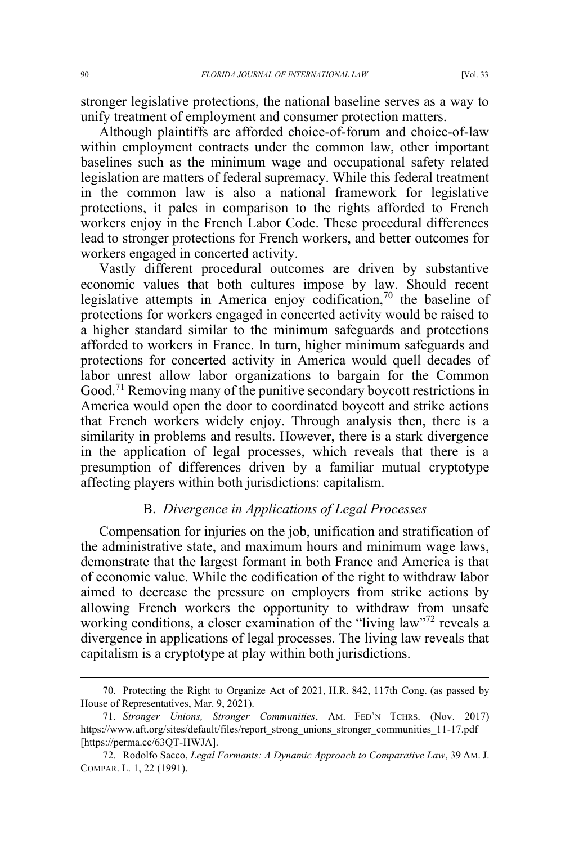stronger legislative protections, the national baseline serves as a way to unify treatment of employment and consumer protection matters.

Although plaintiffs are afforded choice-of-forum and choice-of-law within employment contracts under the common law, other important baselines such as the minimum wage and occupational safety related legislation are matters of federal supremacy. While this federal treatment in the common law is also a national framework for legislative protections, it pales in comparison to the rights afforded to French workers enjoy in the French Labor Code. These procedural differences lead to stronger protections for French workers, and better outcomes for workers engaged in concerted activity.

Vastly different procedural outcomes are driven by substantive economic values that both cultures impose by law. Should recent legislative attempts in America enjoy codification,<sup>70</sup> the baseline of protections for workers engaged in concerted activity would be raised to a higher standard similar to the minimum safeguards and protections afforded to workers in France. In turn, higher minimum safeguards and protections for concerted activity in America would quell decades of labor unrest allow labor organizations to bargain for the Common Good.<sup>71</sup> Removing many of the punitive secondary boycott restrictions in America would open the door to coordinated boycott and strike actions that French workers widely enjoy. Through analysis then, there is a similarity in problems and results. However, there is a stark divergence in the application of legal processes, which reveals that there is a presumption of differences driven by a familiar mutual cryptotype affecting players within both jurisdictions: capitalism.

## B. *Divergence in Applications of Legal Processes*

Compensation for injuries on the job, unification and stratification of the administrative state, and maximum hours and minimum wage laws, demonstrate that the largest formant in both France and America is that of economic value. While the codification of the right to withdraw labor aimed to decrease the pressure on employers from strike actions by allowing French workers the opportunity to withdraw from unsafe working conditions, a closer examination of the "living law"<sup>72</sup> reveals a divergence in applications of legal processes. The living law reveals that capitalism is a cryptotype at play within both jurisdictions.

<sup>70.</sup> Protecting the Right to Organize Act of 2021, H.R. 842, 117th Cong. (as passed by House of Representatives, Mar. 9, 2021).

<sup>71.</sup> *Stronger Unions, Stronger Communities*, AM. FED'N TCHRS. (Nov. 2017) https://www.aft.org/sites/default/files/report\_strong\_unions\_stronger\_communities\_11-17.pdf [https://perma.cc/63OT-HWJA].

<sup>72.</sup> Rodolfo Sacco, *Legal Formants: A Dynamic Approach to Comparative Law*, 39 AM. J. COMPAR. L. 1, 22 (1991).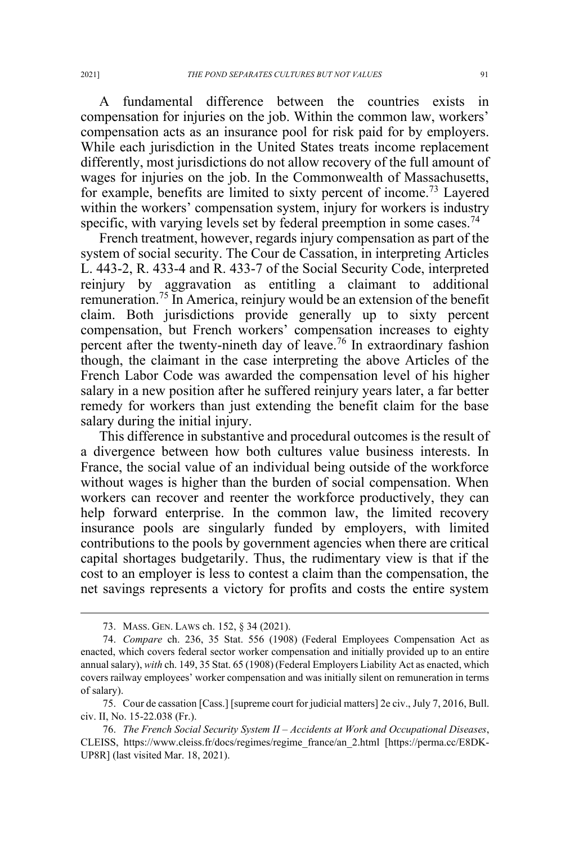A fundamental difference between the countries exists in compensation for injuries on the job. Within the common law, workers' compensation acts as an insurance pool for risk paid for by employers. While each jurisdiction in the United States treats income replacement differently, most jurisdictions do not allow recovery of the full amount of wages for injuries on the job. In the Commonwealth of Massachusetts, for example, benefits are limited to sixty percent of income.<sup>73</sup> Layered within the workers' compensation system, injury for workers is industry specific, with varying levels set by federal preemption in some cases.<sup> $4$ </sup>

French treatment, however, regards injury compensation as part of the system of social security. The Cour de Cassation, in interpreting Articles L. 443-2, R. 433-4 and R. 433-7 of the Social Security Code, interpreted reinjury by aggravation as entitling a claimant to additional remuneration.<sup>75</sup> In America, reinjury would be an extension of the benefit claim. Both jurisdictions provide generally up to sixty percent compensation, but French workers' compensation increases to eighty percent after the twenty-nineth day of leave.<sup>76</sup> In extraordinary fashion though, the claimant in the case interpreting the above Articles of the French Labor Code was awarded the compensation level of his higher salary in a new position after he suffered reinjury years later, a far better remedy for workers than just extending the benefit claim for the base salary during the initial injury.

This difference in substantive and procedural outcomes is the result of a divergence between how both cultures value business interests. In France, the social value of an individual being outside of the workforce without wages is higher than the burden of social compensation. When workers can recover and reenter the workforce productively, they can help forward enterprise. In the common law, the limited recovery insurance pools are singularly funded by employers, with limited contributions to the pools by government agencies when there are critical capital shortages budgetarily. Thus, the rudimentary view is that if the cost to an employer is less to contest a claim than the compensation, the net savings represents a victory for profits and costs the entire system

75. Cour de cassation [Cass.] [supreme court for judicial matters] 2e civ., July 7, 2016, Bull. civ. II, No. 15-22.038 (Fr.).

<sup>73.</sup> MASS. GEN. LAWS ch. 152, § 34 (2021).

<sup>74.</sup> *Compare* ch. 236, 35 Stat. 556 (1908) (Federal Employees Compensation Act as enacted, which covers federal sector worker compensation and initially provided up to an entire annual salary), *with* ch. 149, 35 Stat. 65 (1908) (Federal Employers Liability Act as enacted, which covers railway employees' worker compensation and was initially silent on remuneration in terms of salary).

<sup>76.</sup> *The French Social Security System II – Accidents at Work and Occupational Diseases*, CLEISS, https://www.cleiss.fr/docs/regimes/regime\_france/an\_2.html [https://perma.cc/E8DK-UP8R] (last visited Mar. 18, 2021).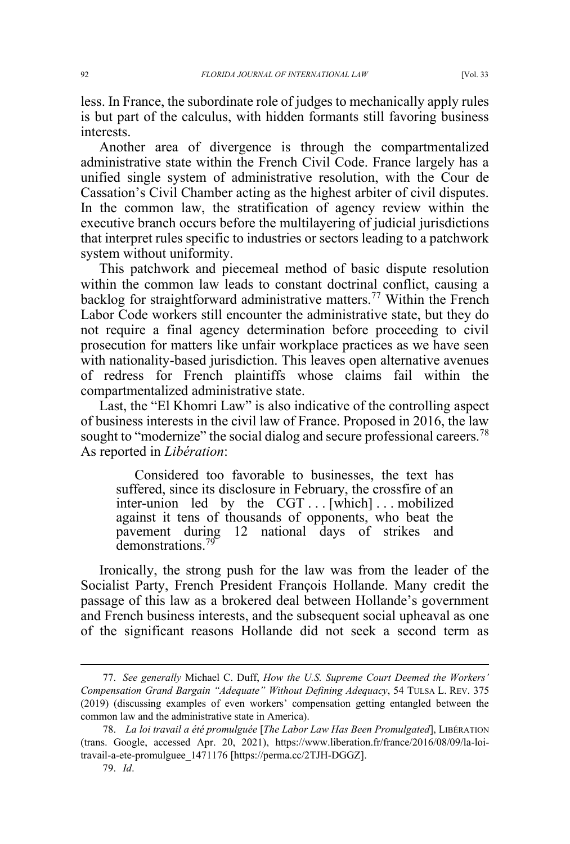less. In France, the subordinate role of judges to mechanically apply rules is but part of the calculus, with hidden formants still favoring business interests.

Another area of divergence is through the compartmentalized administrative state within the French Civil Code. France largely has a unified single system of administrative resolution, with the Cour de Cassation's Civil Chamber acting as the highest arbiter of civil disputes. In the common law, the stratification of agency review within the executive branch occurs before the multilayering of judicial jurisdictions that interpret rules specific to industries or sectors leading to a patchwork system without uniformity.

This patchwork and piecemeal method of basic dispute resolution within the common law leads to constant doctrinal conflict, causing a backlog for straightforward administrative matters.<sup>77</sup> Within the French Labor Code workers still encounter the administrative state, but they do not require a final agency determination before proceeding to civil prosecution for matters like unfair workplace practices as we have seen with nationality-based jurisdiction. This leaves open alternative avenues of redress for French plaintiffs whose claims fail within the compartmentalized administrative state.

Last, the "El Khomri Law" is also indicative of the controlling aspect of business interests in the civil law of France. Proposed in 2016, the law sought to "modernize" the social dialog and secure professional careers.<sup>78</sup> As reported in *Libération*:

Considered too favorable to businesses, the text has suffered, since its disclosure in February, the crossfire of an inter-union led by the CGT . . . [which] . . . mobilized against it tens of thousands of opponents, who beat the pavement during 12 national days of strikes and demonstrations<sup>79</sup>

Ironically, the strong push for the law was from the leader of the Socialist Party, French President François Hollande. Many credit the passage of this law as a brokered deal between Hollande's government and French business interests, and the subsequent social upheaval as one of the significant reasons Hollande did not seek a second term as

<sup>77.</sup> *See generally* Michael C. Duff, *How the U.S. Supreme Court Deemed the Workers' Compensation Grand Bargain "Adequate" Without Defining Adequacy*, 54 TULSA L. REV. 375 (2019) (discussing examples of even workers' compensation getting entangled between the common law and the administrative state in America).

<sup>78.</sup> *La loi travail a été promulguée* [*The Labor Law Has Been Promulgated*], LIBÉRATION (trans. Google, accessed Apr. 20, 2021), https://www.liberation.fr/france/2016/08/09/la-loitravail-a-ete-promulguee\_1471176 [https://perma.cc/2TJH-DGGZ].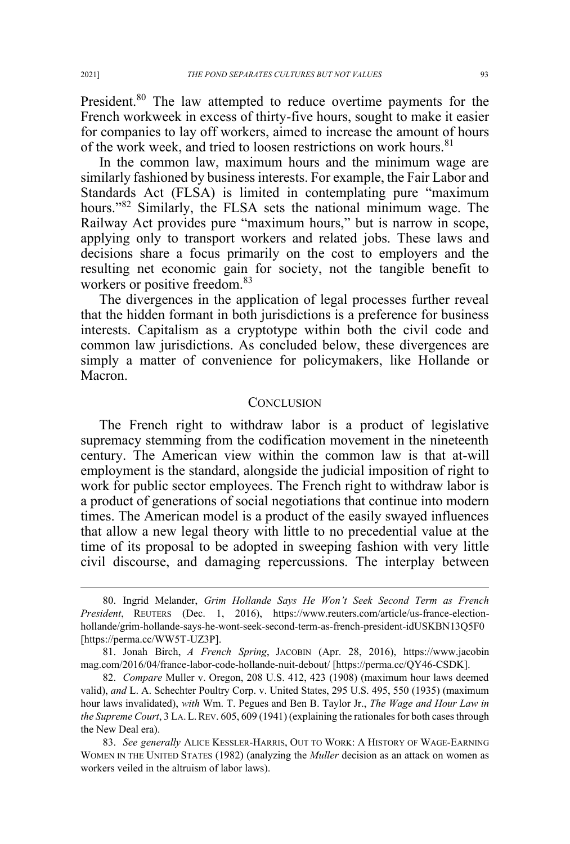President.<sup>80</sup> The law attempted to reduce overtime payments for the French workweek in excess of thirty-five hours, sought to make it easier for companies to lay off workers, aimed to increase the amount of hours of the work week, and tried to loosen restrictions on work hours.<sup>81</sup>

In the common law, maximum hours and the minimum wage are similarly fashioned by business interests. For example, the Fair Labor and Standards Act (FLSA) is limited in contemplating pure "maximum hours."<sup>82</sup> Similarly, the FLSA sets the national minimum wage. The Railway Act provides pure "maximum hours," but is narrow in scope, applying only to transport workers and related jobs. These laws and decisions share a focus primarily on the cost to employers and the resulting net economic gain for society, not the tangible benefit to workers or positive freedom.<sup>83</sup>

The divergences in the application of legal processes further reveal that the hidden formant in both jurisdictions is a preference for business interests. Capitalism as a cryptotype within both the civil code and common law jurisdictions. As concluded below, these divergences are simply a matter of convenience for policymakers, like Hollande or Macron.

#### **CONCLUSION**

The French right to withdraw labor is a product of legislative supremacy stemming from the codification movement in the nineteenth century. The American view within the common law is that at-will employment is the standard, alongside the judicial imposition of right to work for public sector employees. The French right to withdraw labor is a product of generations of social negotiations that continue into modern times. The American model is a product of the easily swayed influences that allow a new legal theory with little to no precedential value at the time of its proposal to be adopted in sweeping fashion with very little civil discourse, and damaging repercussions. The interplay between

<sup>80.</sup> Ingrid Melander, *Grim Hollande Says He Won't Seek Second Term as French President*, REUTERS (Dec. 1, 2016), https://www.reuters.com/article/us-france-electionhollande/grim-hollande-says-he-wont-seek-second-term-as-french-president-idUSKBN13Q5F0 [https://perma.cc/WW5T-UZ3P].

<sup>81.</sup> Jonah Birch, *A French Spring*, JACOBIN (Apr. 28, 2016), https://www.jacobin mag.com/2016/04/france-labor-code-hollande-nuit-debout/ [https://perma.cc/QY46-CSDK].

<sup>82.</sup> *Compare* Muller v. Oregon, 208 U.S. 412, 423 (1908) (maximum hour laws deemed valid), *and* L. A. Schechter Poultry Corp. v. United States, 295 U.S. 495, 550 (1935) (maximum hour laws invalidated), *with* Wm. T. Pegues and Ben B. Taylor Jr., *The Wage and Hour Law in the Supreme Court*, 3 LA.L.REV. 605, 609 (1941) (explaining the rationales for both cases through the New Deal era).

<sup>83.</sup> *See generally* ALICE KESSLER-HARRIS, OUT TO WORK: A HISTORY OF WAGE-EARNING WOMEN IN THE UNITED STATES (1982) (analyzing the *Muller* decision as an attack on women as workers veiled in the altruism of labor laws).